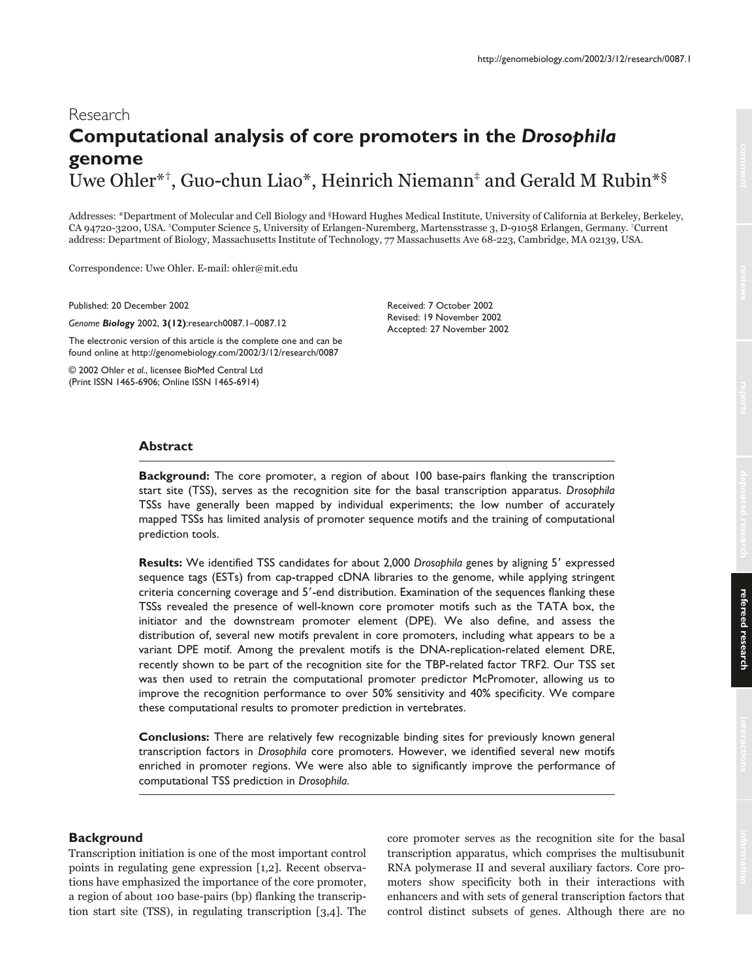http://genomebiology.com/2002/3/12/research/0087.1

# Research **Computational analysis of core promoters in the** *Drosophila* **genome**  Uwe Ohler\*†, Guo-chun Liao\*, Heinrich Niemann‡ and Gerald M Rubin\*§

Addresses: \*Department of Molecular and Cell Biology and §Howard Hughes Medical Institute, University of California at Berkeley, Berkeley, CA 94720-3200, USA. ‡Computer Science 5, University of Erlangen-Nuremberg, Martensstrasse 3, D-91058 Erlangen, Germany. †Current address: Department of Biology, Massachusetts Institute of Technology, 77 Massachusetts Ave 68-223, Cambridge, MA 02139, USA.

Correspondence: Uwe Ohler. E-mail: ohler@mit.edu

Published: 20 December 2002

*Genome Biology* 2002, **3(12)**:research0087.1–0087.12

The electronic version of this article is the complete one and can be found online at http://genomebiology.com/2002/3/12/research/0087

© 2002 Ohler *et al*., licensee BioMed Central Ltd (Print ISSN 1465-6906; Online ISSN 1465-6914)

Received: 7 October 2002 Revised: 19 November 2002 Accepted: 27 November 2002

**Abstract Background:** The core promoter, a region of about 100 base-pairs flanking the transcription start site (TSS), serves as the recognition site for the basal transcription apparatus. *Drosophila* TSSs have generally been mapped by individual experiments; the low number of accurately mapped TSSs has limited analysis of promoter sequence motifs and the training of computational prediction tools.

**Results:** We identified TSS candidates for about 2,000 *Drosophila* genes by aligning 5' expressed sequence tags (ESTs) from cap-trapped cDNA libraries to the genome, while applying stringent criteria concerning coverage and 5'-end distribution. Examination of the sequences flanking these TSSs revealed the presence of well-known core promoter motifs such as the TATA box, the initiator and the downstream promoter element (DPE). We also define, and assess the distribution of, several new motifs prevalent in core promoters, including what appears to be a variant DPE motif. Among the prevalent motifs is the DNA-replication-related element DRE, recently shown to be part of the recognition site for the TBP-related factor TRF2. Our TSS set was then used to retrain the computational promoter predictor McPromoter, allowing us to improve the recognition performance to over 50% sensitivity and 40% specificity. We compare these computational results to promoter prediction in vertebrates.

**Conclusions:** There are relatively few recognizable binding sites for previously known general transcription factors in *Drosophila* core promoters. However, we identified several new motifs enriched in promoter regions. We were also able to significantly improve the performance of computational TSS prediction in *Drosophila*.

## **Background**

Transcription initiation is one of the most important control points in regulating gene expression [1,2]. Recent observations have emphasized the importance of the core promoter, a region of about 100 base-pairs (bp) flanking the transcription start site (TSS), in regulating transcription [3,4]. The core promoter serves as the recognition site for the basal transcription apparatus, which comprises the multisubunit RNA polymerase II and several auxiliary factors. Core promoters show specificity both in their interactions with enhancers and with sets of general transcription factors that control distinct subsets of genes. Although there are no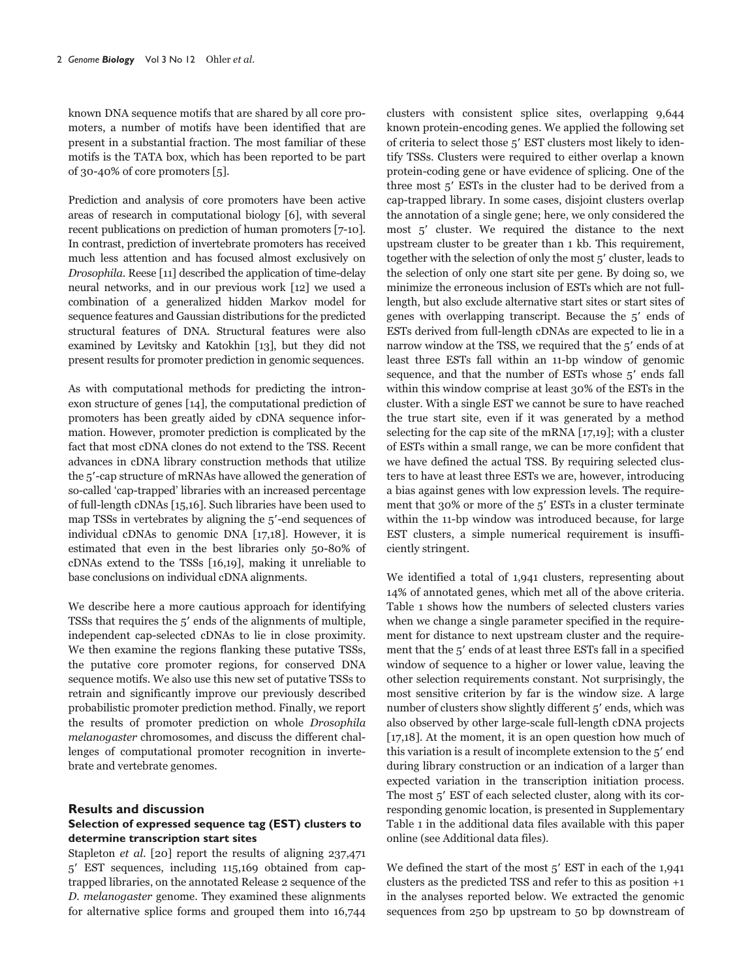known DNA sequence motifs that are shared by all core promoters, a number of motifs have been identified that are present in a substantial fraction. The most familiar of these motifs is the TATA box, which has been reported to be part of 30-40% of core promoters [5].

Prediction and analysis of core promoters have been active areas of research in computational biology [6], with several recent publications on prediction of human promoters [7-10]. In contrast, prediction of invertebrate promoters has received much less attention and has focused almost exclusively on Drosophila. Reese [11] described the application of time-delay neural networks, and in our previous work [12] we used a combination of a generalized hidden Markov model for sequence features and Gaussian distributions for the predicted structural features of DNA. Structural features were also examined by Levitsky and Katokhin [13], but they did not present results for promoter prediction in genomic sequences.

As with computational methods for predicting the intronexon structure of genes [14], the computational prediction of promoters has been greatly aided by cDNA sequence information. However, promoter prediction is complicated by the fact that most cDNA clones do not extend to the TSS. Recent advances in cDNA library construction methods that utilize the 5'-cap structure of mRNAs have allowed the generation of so-called 'cap-trapped' libraries with an increased percentage of full-length cDNAs [15,16]. Such libraries have been used to map TSSs in vertebrates by aligning the 5'-end sequences of individual cDNAs to genomic DNA [17,18]. However, it is estimated that even in the best libraries only 50-80% of cDNAs extend to the TSSs [16,19], making it unreliable to base conclusions on individual cDNA alignments.

We describe here a more cautious approach for identifying TSSs that requires the 5' ends of the alignments of multiple, independent cap-selected cDNAs to lie in close proximity. We then examine the regions flanking these putative TSSs, the putative core promoter regions, for conserved DNA sequence motifs. We also use this new set of putative TSSs to retrain and significantly improve our previously described probabilistic promoter prediction method. Finally, we report the results of promoter prediction on whole Drosophila melanogaster chromosomes, and discuss the different challenges of computational promoter recognition in invertebrate and vertebrate genomes.

## **Results and discussion**

# **Selection of expressed sequence tag (EST) clusters to determine transcription start sites**

Stapleton et al. [20] report the results of aligning 237,471 5 EST sequences, including 115,169 obtained from captrapped libraries, on the annotated Release 2 sequence of the D. melanogaster genome. They examined these alignments for alternative splice forms and grouped them into 16,744

clusters with consistent splice sites, overlapping 9,644 known protein-encoding genes. We applied the following set of criteria to select those 5' EST clusters most likely to identify TSSs. Clusters were required to either overlap a known protein-coding gene or have evidence of splicing. One of the three most 5' ESTs in the cluster had to be derived from a cap-trapped library. In some cases, disjoint clusters overlap the annotation of a single gene; here, we only considered the most 5' cluster. We required the distance to the next upstream cluster to be greater than 1 kb. This requirement, together with the selection of only the most 5' cluster, leads to the selection of only one start site per gene. By doing so, we minimize the erroneous inclusion of ESTs which are not fulllength, but also exclude alternative start sites or start sites of genes with overlapping transcript. Because the  $5'$  ends of ESTs derived from full-length cDNAs are expected to lie in a narrow window at the TSS, we required that the 5' ends of at least three ESTs fall within an 11-bp window of genomic sequence, and that the number of ESTs whose 5' ends fall within this window comprise at least 30% of the ESTs in the cluster. With a single EST we cannot be sure to have reached the true start site, even if it was generated by a method selecting for the cap site of the mRNA [17,19]; with a cluster of ESTs within a small range, we can be more confident that we have defined the actual TSS. By requiring selected clusters to have at least three ESTs we are, however, introducing a bias against genes with low expression levels. The requirement that  $30\%$  or more of the  $5'$  ESTs in a cluster terminate within the 11-bp window was introduced because, for large EST clusters, a simple numerical requirement is insufficiently stringent.

We identified a total of 1,941 clusters, representing about 14% of annotated genes, which met all of the above criteria. Table 1 shows how the numbers of selected clusters varies when we change a single parameter specified in the requirement for distance to next upstream cluster and the requirement that the 5' ends of at least three ESTs fall in a specified window of sequence to a higher or lower value, leaving the other selection requirements constant. Not surprisingly, the most sensitive criterion by far is the window size. A large number of clusters show slightly different 5' ends, which was also observed by other large-scale full-length cDNA projects [17,18]. At the moment, it is an open question how much of this variation is a result of incomplete extension to the 5' end during library construction or an indication of a larger than expected variation in the transcription initiation process. The most 5' EST of each selected cluster, along with its corresponding genomic location, is presented in Supplementary Table 1 in the additional data files available with this paper online (see Additional data files).

We defined the start of the most  $5'$  EST in each of the  $1,941$ clusters as the predicted TSS and refer to this as position +1 in the analyses reported below. We extracted the genomic sequences from 250 bp upstream to 50 bp downstream of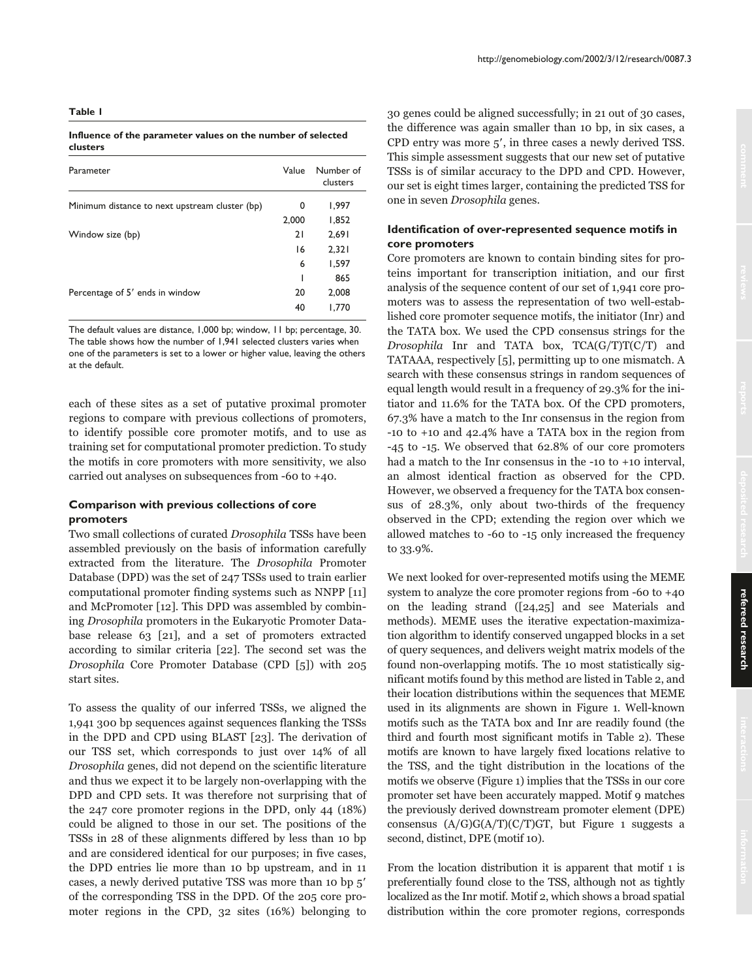#### **Influence of the parameter values on the number of selected clusters**

| Value | Number of<br>clusters |
|-------|-----------------------|
| 0     | 1,997                 |
| 2,000 | 1,852                 |
| 21    | 2,691                 |
| 16    | 2,321                 |
| 6     | 1,597                 |
| ı     | 865                   |
| 20    | 2,008                 |
| 40    | 1.770                 |
|       |                       |

The default values are distance, 1,000 bp; window, 11 bp; percentage, 30. The table shows how the number of 1,941 selected clusters varies when one of the parameters is set to a lower or higher value, leaving the others at the default.

each of these sites as a set of putative proximal promoter regions to compare with previous collections of promoters, to identify possible core promoter motifs, and to use as training set for computational promoter prediction. To study the motifs in core promoters with more sensitivity, we also carried out analyses on subsequences from -60 to +40.

# **Comparison with previous collections of core promoters**

Two small collections of curated Drosophila TSSs have been assembled previously on the basis of information carefully extracted from the literature. The Drosophila Promoter Database (DPD) was the set of 247 TSSs used to train earlier computational promoter finding systems such as NNPP [11] and McPromoter [12]. This DPD was assembled by combining Drosophila promoters in the Eukaryotic Promoter Database release 63 [21], and a set of promoters extracted according to similar criteria [22]. The second set was the Drosophila Core Promoter Database (CPD [5]) with 205 start sites.

To assess the quality of our inferred TSSs, we aligned the 1,941 300 bp sequences against sequences flanking the TSSs in the DPD and CPD using BLAST [23]. The derivation of our TSS set, which corresponds to just over 14% of all Drosophila genes, did not depend on the scientific literature and thus we expect it to be largely non-overlapping with the DPD and CPD sets. It was therefore not surprising that of the 247 core promoter regions in the DPD, only 44 (18%) could be aligned to those in our set. The positions of the TSSs in 28 of these alignments differed by less than 10 bp and are considered identical for our purposes; in five cases, the DPD entries lie more than 10 bp upstream, and in 11 cases, a newly derived putative TSS was more than 10 bp 5 of the corresponding TSS in the DPD. Of the 205 core promoter regions in the CPD, 32 sites (16%) belonging to

30 genes could be aligned successfully; in 21 out of 30 cases, the difference was again smaller than 10 bp, in six cases, a CPD entry was more 5', in three cases a newly derived TSS. This simple assessment suggests that our new set of putative TSSs is of similar accuracy to the DPD and CPD. However, our set is eight times larger, containing the predicted TSS for one in seven Drosophila genes.

# **Identification of over-represented sequence motifs in core promoters**

Core promoters are known to contain binding sites for proteins important for transcription initiation, and our first analysis of the sequence content of our set of 1,941 core promoters was to assess the representation of two well-established core promoter sequence motifs, the initiator (Inr) and the TATA box. We used the CPD consensus strings for the Drosophila Inr and TATA box, TCA(G/T)T(C/T) and TATAAA, respectively [5], permitting up to one mismatch. A search with these consensus strings in random sequences of equal length would result in a frequency of 29.3% for the initiator and 11.6% for the TATA box. Of the CPD promoters, 67.3% have a match to the Inr consensus in the region from -10 to +10 and 42.4% have a TATA box in the region from -45 to -15. We observed that 62.8% of our core promoters had a match to the Inr consensus in the -10 to +10 interval, an almost identical fraction as observed for the CPD. However, we observed a frequency for the TATA box consensus of 28.3%, only about two-thirds of the frequency observed in the CPD; extending the region over which we allowed matches to -60 to -15 only increased the frequency to 33.9%.

We next looked for over-represented motifs using the MEME system to analyze the core promoter regions from -60 to +40 on the leading strand ([24,25] and see Materials and methods). MEME uses the iterative expectation-maximization algorithm to identify conserved ungapped blocks in a set of query sequences, and delivers weight matrix models of the found non-overlapping motifs. The 10 most statistically significant motifs found by this method are listed in Table 2, and their location distributions within the sequences that MEME used in its alignments are shown in Figure 1. Well-known motifs such as the TATA box and Inr are readily found (the third and fourth most significant motifs in Table 2). These motifs are known to have largely fixed locations relative to the TSS, and the tight distribution in the locations of the motifs we observe (Figure 1) implies that the TSSs in our core promoter set have been accurately mapped. Motif 9 matches the previously derived downstream promoter element (DPE) consensus  $(A/G)G(A/T)(C/T)GT$ , but Figure 1 suggests a second, distinct, DPE (motif 10).

From the location distribution it is apparent that motif 1 is preferentially found close to the TSS, although not as tightly localized as the Inr motif. Motif 2, which shows a broad spatial distribution within the core promoter regions, corresponds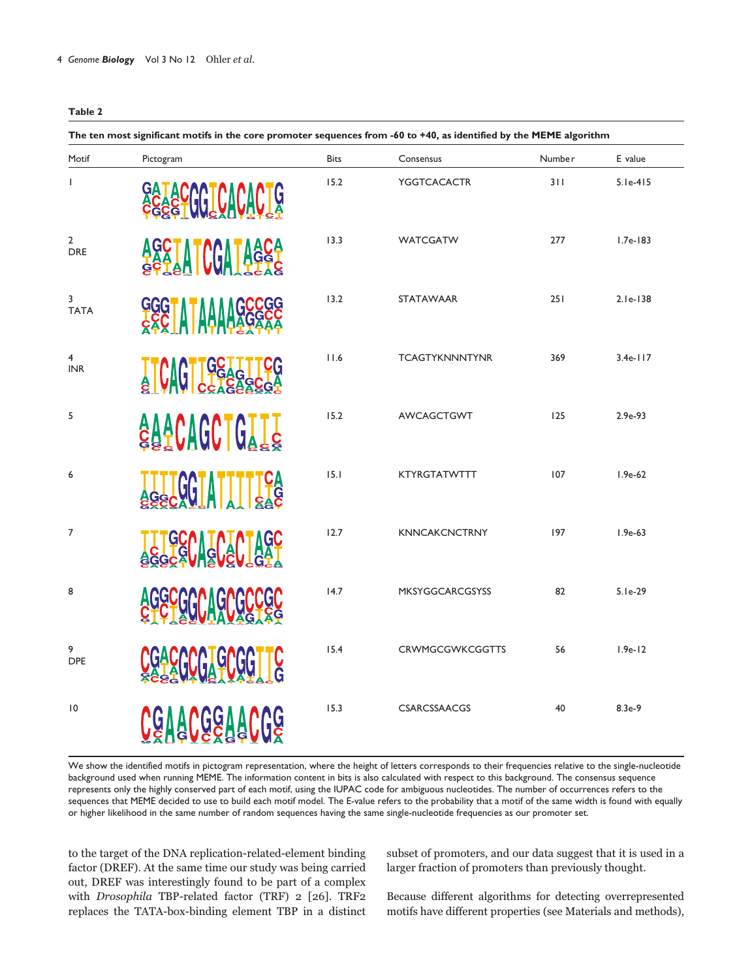| The ten most significant motifs in the core promoter sequences from -60 to +40, as identified by the MEME algorithm |                                                                      |             |                        |        |            |
|---------------------------------------------------------------------------------------------------------------------|----------------------------------------------------------------------|-------------|------------------------|--------|------------|
| Motif                                                                                                               | Pictogram                                                            | <b>Bits</b> | Consensus              | Number | E value    |
| $\mathsf{I}$                                                                                                        | <b>GICACACT</b><br><u>lij</u>                                        | 15.2        | <b>YGGTCACACTR</b>     | 311    | $5.1e-415$ |
| $\overline{2}$<br><b>DRE</b>                                                                                        | GU<br>AA   <br><sup>-C</sup> LA <u>I</u><br><b>AGGI</b><br><b>GA</b> | 13.3        | <b>WATCGATW</b>        | 277    | $1.7e-183$ |
| 3<br><b>TATA</b>                                                                                                    |                                                                      | 13.2        | <b>STATAWAAR</b>       | 251    | 2.1e-138   |
| $\overline{4}$<br><b>INR</b>                                                                                        | $\frac{1}{6}$                                                        | 11.6        | <b>TCAGTYKNNNTYNR</b>  | 369    | $3.4e-117$ |
| 5                                                                                                                   | <b>AAACAGCTGT</b>                                                    | 15.2        | <b>AWCAGCTGWT</b>      | 125    | 2.9e-93    |
| 6                                                                                                                   |                                                                      | 15.1        | KTYRGTATWTTT           | 107    | $1.9e-62$  |
| $\overline{7}$                                                                                                      | ।<br>।<br>दुर्ग                                                      | 12.7        | <b>KNNCAKCNCTRNY</b>   | 197    | $1.9e-63$  |
| 8                                                                                                                   |                                                                      | 14.7        | <b>MKSYGGCARCGSYSS</b> | 82     | $5.1e-29$  |
| 9<br><b>DPE</b>                                                                                                     |                                                                      | 15.4        | <b>CRWMGCGWKCGGTTS</b> | 56     | $1.9e-12$  |
| $\overline{10}$                                                                                                     | G                                                                    | 15.3        | <b>CSARCSSAACGS</b>    | 40     | 8.3e-9     |

We show the identified motifs in pictogram representation, where the height of letters corresponds to their frequencies relative to the single-nucleotide background used when running MEME. The information content in bits is also calculated with respect to this background. The consensus sequence represents only the highly conserved part of each motif, using the IUPAC code for ambiguous nucleotides. The number of occurrences refers to the sequences that MEME decided to use to build each motif model. The E-value refers to the probability that a motif of the same width is found with equally or higher likelihood in the same number of random sequences having the same single-nucleotide frequencies as our promoter set.

to the target of the DNA replication-related-element binding factor (DREF). At the same time our study was being carried out, DREF was interestingly found to be part of a complex with Drosophila TBP-related factor (TRF) 2 [26]. TRF2 replaces the TATA-box-binding element TBP in a distinct subset of promoters, and our data suggest that it is used in a larger fraction of promoters than previously thought.

Because different algorithms for detecting overrepresented motifs have different properties (see Materials and methods),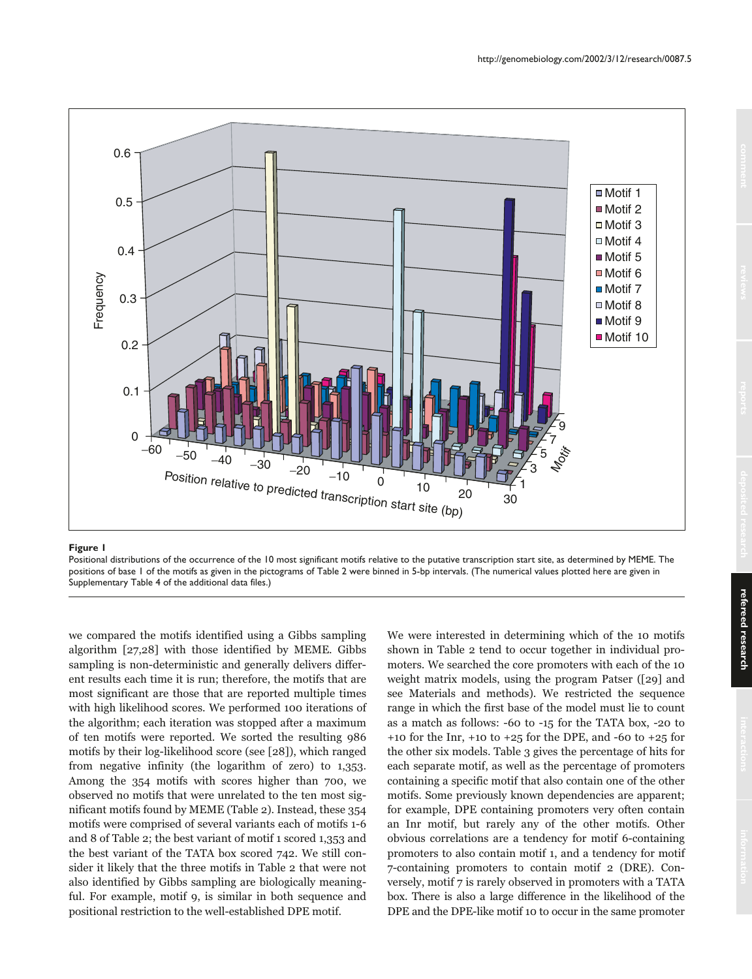

#### **Figure 1**

Positional distributions of the occurrence of the 10 most significant motifs relative to the putative transcription start site, as determined by MEME. The positions of base 1 of the motifs as given in the pictograms of Table 2 were binned in 5-bp intervals. (The numerical values plotted here are given in Supplementary Table 4 of the additional data files.)

we compared the motifs identified using a Gibbs sampling algorithm [27,28] with those identified by MEME. Gibbs sampling is non-deterministic and generally delivers different results each time it is run; therefore, the motifs that are most significant are those that are reported multiple times with high likelihood scores. We performed 100 iterations of the algorithm; each iteration was stopped after a maximum of ten motifs were reported. We sorted the resulting 986 motifs by their log-likelihood score (see [28]), which ranged from negative infinity (the logarithm of zero) to 1,353. Among the 354 motifs with scores higher than 700, we observed no motifs that were unrelated to the ten most significant motifs found by MEME (Table 2). Instead, these 354 motifs were comprised of several variants each of motifs 1-6 and 8 of Table 2; the best variant of motif 1 scored 1,353 and the best variant of the TATA box scored 742. We still consider it likely that the three motifs in Table 2 that were not also identified by Gibbs sampling are biologically meaningful. For example, motif 9, is similar in both sequence and positional restriction to the well-established DPE motif.

We were interested in determining which of the 10 motifs shown in Table 2 tend to occur together in individual promoters. We searched the core promoters with each of the 10 weight matrix models, using the program Patser ([29] and see Materials and methods). We restricted the sequence range in which the first base of the model must lie to count as a match as follows: -60 to -15 for the TATA box, -20 to +10 for the Inr, +10 to +25 for the DPE, and -60 to +25 for the other six models. Table 3 gives the percentage of hits for each separate motif, as well as the percentage of promoters containing a specific motif that also contain one of the other motifs. Some previously known dependencies are apparent; for example, DPE containing promoters very often contain an Inr motif, but rarely any of the other motifs. Other obvious correlations are a tendency for motif 6-containing promoters to also contain motif 1, and a tendency for motif 7-containing promoters to contain motif 2 (DRE). Conversely, motif 7 is rarely observed in promoters with a TATA box. There is also a large difference in the likelihood of the DPE and the DPE-like motif 10 to occur in the same promoter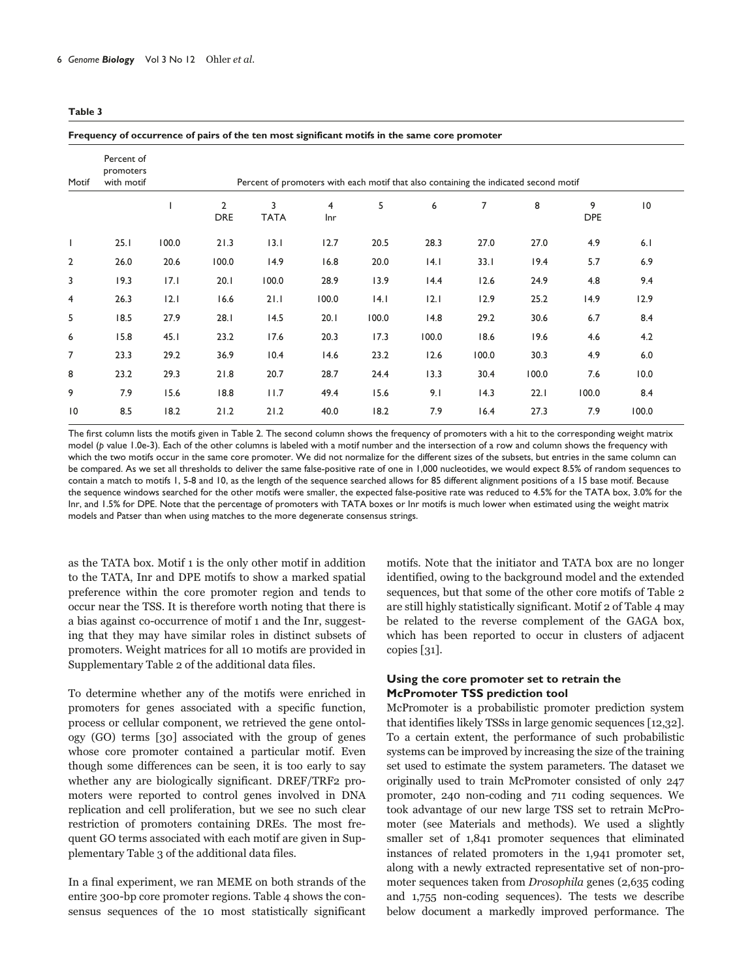#### **Frequency of occurrence of pairs of the ten most significant motifs in the same core promoter**

| Motif           | Percent of<br>promoters<br>with motif |       |                              | Percent of promoters with each motif that also containing the indicated second motif |                       |       |       |                |       |                 |       |  |
|-----------------|---------------------------------------|-------|------------------------------|--------------------------------------------------------------------------------------|-----------------------|-------|-------|----------------|-------|-----------------|-------|--|
|                 |                                       |       | $\overline{2}$<br><b>DRE</b> | 3<br><b>TATA</b>                                                                     | $\overline{4}$<br>Inr | 5     | 6     | $\overline{7}$ | 8     | 9<br><b>DPE</b> | 10    |  |
| I               | 25.1                                  | 100.0 | 21.3                         | 13.1                                                                                 | 12.7                  | 20.5  | 28.3  | 27.0           | 27.0  | 4.9             | 6.1   |  |
| $\overline{2}$  | 26.0                                  | 20.6  | 100.0                        | 14.9                                                                                 | 16.8                  | 20.0  | 4.1   | 33.1           | 19.4  | 5.7             | 6.9   |  |
| 3               | 19.3                                  | 17.1  | 20.1                         | 100.0                                                                                | 28.9                  | 13.9  | 14.4  | 12.6           | 24.9  | 4.8             | 9.4   |  |
| 4               | 26.3                                  | 2.1   | 16.6                         | 21.1                                                                                 | 100.0                 | 4.1   | 2.1   | 12.9           | 25.2  | 14.9            | 12.9  |  |
| 5               | 18.5                                  | 27.9  | 28.1                         | 14.5                                                                                 | 20.1                  | 100.0 | 14.8  | 29.2           | 30.6  | 6.7             | 8.4   |  |
| 6               | 15.8                                  | 45.1  | 23.2                         | 17.6                                                                                 | 20.3                  | 17.3  | 100.0 | 18.6           | 19.6  | 4.6             | 4.2   |  |
| 7               | 23.3                                  | 29.2  | 36.9                         | 10.4                                                                                 | 14.6                  | 23.2  | 12.6  | 100.0          | 30.3  | 4.9             | 6.0   |  |
| 8               | 23.2                                  | 29.3  | 21.8                         | 20.7                                                                                 | 28.7                  | 24.4  | 13.3  | 30.4           | 100.0 | 7.6             | 10.0  |  |
| 9               | 7.9                                   | 15.6  | 18.8                         | 11.7                                                                                 | 49.4                  | 15.6  | 9.1   | 14.3           | 22.1  | 100.0           | 8.4   |  |
| $\overline{10}$ | 8.5                                   | 18.2  | 21.2                         | 21.2                                                                                 | 40.0                  | 18.2  | 7.9   | 16.4           | 27.3  | 7.9             | 100.0 |  |

The first column lists the motifs given in Table 2. The second column shows the frequency of promoters with a hit to the corresponding weight matrix model (*p* value 1.0e-3). Each of the other columns is labeled with a motif number and the intersection of a row and column shows the frequency with which the two motifs occur in the same core promoter. We did not normalize for the different sizes of the subsets, but entries in the same column can be compared. As we set all thresholds to deliver the same false-positive rate of one in 1,000 nucleotides, we would expect 8.5% of random sequences to contain a match to motifs 1, 5-8 and 10, as the length of the sequence searched allows for 85 different alignment positions of a 15 base motif. Because the sequence windows searched for the other motifs were smaller, the expected false-positive rate was reduced to 4.5% for the TATA box, 3.0% for the Inr, and 1.5% for DPE. Note that the percentage of promoters with TATA boxes or Inr motifs is much lower when estimated using the weight matrix models and Patser than when using matches to the more degenerate consensus strings.

as the TATA box. Motif 1 is the only other motif in addition to the TATA, Inr and DPE motifs to show a marked spatial preference within the core promoter region and tends to occur near the TSS. It is therefore worth noting that there is a bias against co-occurrence of motif 1 and the Inr, suggesting that they may have similar roles in distinct subsets of promoters. Weight matrices for all 10 motifs are provided in Supplementary Table 2 of the additional data files.

To determine whether any of the motifs were enriched in promoters for genes associated with a specific function, process or cellular component, we retrieved the gene ontology (GO) terms [30] associated with the group of genes whose core promoter contained a particular motif. Even though some differences can be seen, it is too early to say whether any are biologically significant. DREF/TRF2 promoters were reported to control genes involved in DNA replication and cell proliferation, but we see no such clear restriction of promoters containing DREs. The most frequent GO terms associated with each motif are given in Supplementary Table 3 of the additional data files.

In a final experiment, we ran MEME on both strands of the entire 300-bp core promoter regions. Table 4 shows the consensus sequences of the 10 most statistically significant motifs. Note that the initiator and TATA box are no longer identified, owing to the background model and the extended sequences, but that some of the other core motifs of Table 2 are still highly statistically significant. Motif 2 of Table 4 may be related to the reverse complement of the GAGA box, which has been reported to occur in clusters of adjacent copies  $\lceil 31 \rceil$ .

# **Using the core promoter set to retrain the McPromoter TSS prediction tool**

McPromoter is a probabilistic promoter prediction system that identifies likely TSSs in large genomic sequences [12,32]. To a certain extent, the performance of such probabilistic systems can be improved by increasing the size of the training set used to estimate the system parameters. The dataset we originally used to train McPromoter consisted of only 247 promoter, 240 non-coding and 711 coding sequences. We took advantage of our new large TSS set to retrain McPromoter (see Materials and methods). We used a slightly smaller set of 1,841 promoter sequences that eliminated instances of related promoters in the 1,941 promoter set, along with a newly extracted representative set of non-promoter sequences taken from Drosophila genes (2,635 coding and 1,755 non-coding sequences). The tests we describe below document a markedly improved performance. The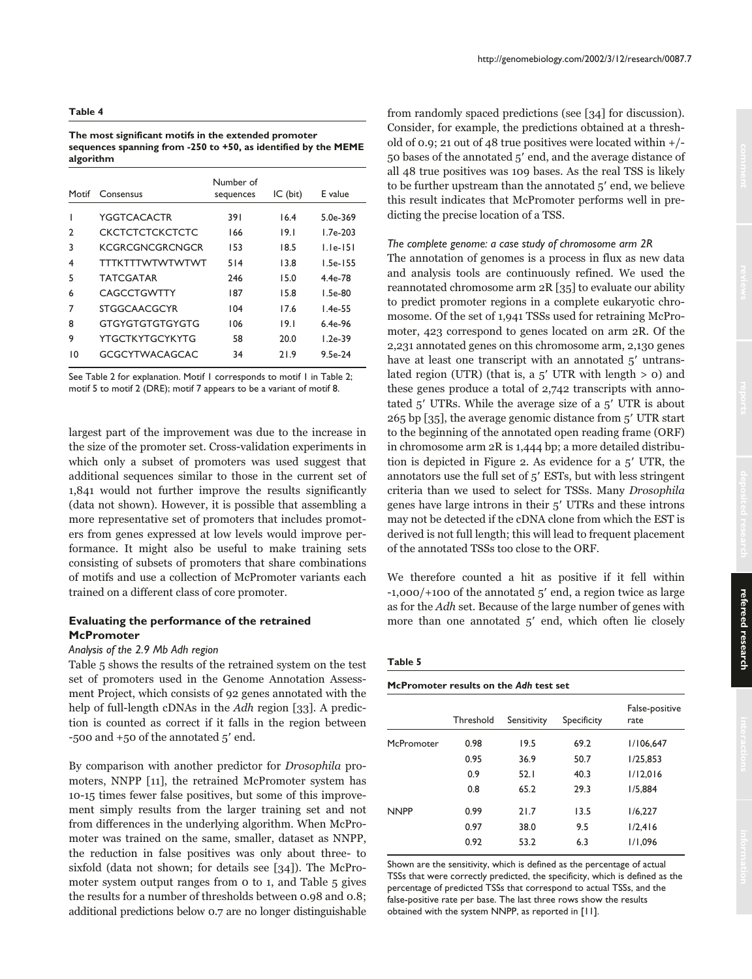**The most significant motifs in the extended promoter sequences spanning from -250 to +50, as identified by the MEME algorithm**

| Morif | Consensus              | Number of<br>sequences | $IC$ (bit) | E value      |
|-------|------------------------|------------------------|------------|--------------|
|       | YGGTCACACTR            | 391                    | 16.4       | $5.0e - 369$ |
| 2     | CKCTCTCTCKCTCTC        | 166                    | 19.1       | $1.7e-203$   |
| 3     | KCGRCGNCGRCNGCR        | 153                    | 18.5       | $L$ le-151   |
| 4     | <b>TTTKTTTWTWTWTWT</b> | 514                    | 13.8       | $1.5e-155$   |
| 5     | <b>TATCGATAR</b>       | 246                    | 15.0       | $4.4e-78$    |
| 6     | CAGCCTGWTTY            | 187                    | 15.8       | $L.5e-80$    |
| 7     | <b>STGGCAACGCYR</b>    | 104                    | 17.6       | $1.4e-55$    |
| 8     | GTGYGTGTGTGYGTG        | 106                    | 19.1       | $6.4e-96$    |
| 9     | YTGCTKYTGCYKYTG        | 58                     | 20.0       | $1.2e-39$    |
| 10    | GCGCYTWACAGCAC         | 34                     | 21.9       | $9.5e-24$    |

See Table 2 for explanation. Motif 1 corresponds to motif 1 in Table 2; motif 5 to motif 2 (DRE); motif 7 appears to be a variant of motif 8.

largest part of the improvement was due to the increase in the size of the promoter set. Cross-validation experiments in which only a subset of promoters was used suggest that additional sequences similar to those in the current set of 1,841 would not further improve the results significantly (data not shown). However, it is possible that assembling a more representative set of promoters that includes promoters from genes expressed at low levels would improve performance. It might also be useful to make training sets consisting of subsets of promoters that share combinations of motifs and use a collection of McPromoter variants each trained on a different class of core promoter.

# **Evaluating the performance of the retrained McPromoter**

#### *Analysis of the 2.9 Mb Adh region*

Table 5 shows the results of the retrained system on the test set of promoters used in the Genome Annotation Assessment Project, which consists of 92 genes annotated with the help of full-length cDNAs in the Adh region [33]. A prediction is counted as correct if it falls in the region between -500 and  $+50$  of the annotated  $5'$  end.

By comparison with another predictor for Drosophila promoters, NNPP [11], the retrained McPromoter system has 10-15 times fewer false positives, but some of this improvement simply results from the larger training set and not from differences in the underlying algorithm. When McPromoter was trained on the same, smaller, dataset as NNPP, the reduction in false positives was only about three- to sixfold (data not shown; for details see [34]). The McPromoter system output ranges from 0 to 1, and Table 5 gives the results for a number of thresholds between 0.98 and 0.8; additional predictions below 0.7 are no longer distinguishable from randomly spaced predictions (see [34] for discussion). Consider, for example, the predictions obtained at a threshold of 0.9; 21 out of 48 true positives were located within +/- 50 bases of the annotated 5' end, and the average distance of all 48 true positives was 109 bases. As the real TSS is likely to be further upstream than the annotated 5' end, we believe this result indicates that McPromoter performs well in predicting the precise location of a TSS.

#### *The complete genome: a case study of chromosome arm 2R*

The annotation of genomes is a process in flux as new data and analysis tools are continuously refined. We used the reannotated chromosome arm 2R [35] to evaluate our ability to predict promoter regions in a complete eukaryotic chromosome. Of the set of 1,941 TSSs used for retraining McPromoter, 423 correspond to genes located on arm 2R. Of the 2,231 annotated genes on this chromosome arm, 2,130 genes have at least one transcript with an annotated 5' untranslated region (UTR) (that is, a  $5'$  UTR with length  $> 0$ ) and these genes produce a total of 2,742 transcripts with annotated  $5'$  UTRs. While the average size of a  $5'$  UTR is about 265 bp [35], the average genomic distance from 5' UTR start to the beginning of the annotated open reading frame (ORF) in chromosome arm 2R is 1,444 bp; a more detailed distribution is depicted in Figure 2. As evidence for a  $5'$  UTR, the annotators use the full set of 5' ESTs, but with less stringent criteria than we used to select for TSSs. Many Drosophila genes have large introns in their 5' UTRs and these introns may not be detected if the cDNA clone from which the EST is derived is not full length; this will lead to frequent placement of the annotated TSSs too close to the ORF.

We therefore counted a hit as positive if it fell within  $-1,000/+100$  of the annotated  $5'$  end, a region twice as large as for the Adh set. Because of the large number of genes with more than one annotated 5' end, which often lie closely

#### **Table 5**

**McPromoter results on the** *Adh* **test set** 

|             | Threshold | Sensitivity | Specificity | False-positive<br>rate |
|-------------|-----------|-------------|-------------|------------------------|
| McPromoter  | 0.98      | 19.5        | 69.2        | 1/106,647              |
|             | 0.95      | 36.9        | 50.7        | 1/25,853               |
|             | 0.9       | 52.1        | 40.3        | 1/12,016               |
|             | 0.8       | 65.2        | 29.3        | 1/5.884                |
| <b>NNPP</b> | 0.99      | 21.7        | 13.5        | 1/6,227                |
|             | 0.97      | 38.0        | 9.5         | 1/2,416                |
|             | 0.92      | 53.2        | 6.3         | 1/1,096                |
|             |           |             |             |                        |

Shown are the sensitivity, which is defined as the percentage of actual TSSs that were correctly predicted, the specificity, which is defined as the percentage of predicted TSSs that correspond to actual TSSs, and the false-positive rate per base. The last three rows show the results obtained with the system NNPP, as reported in [11].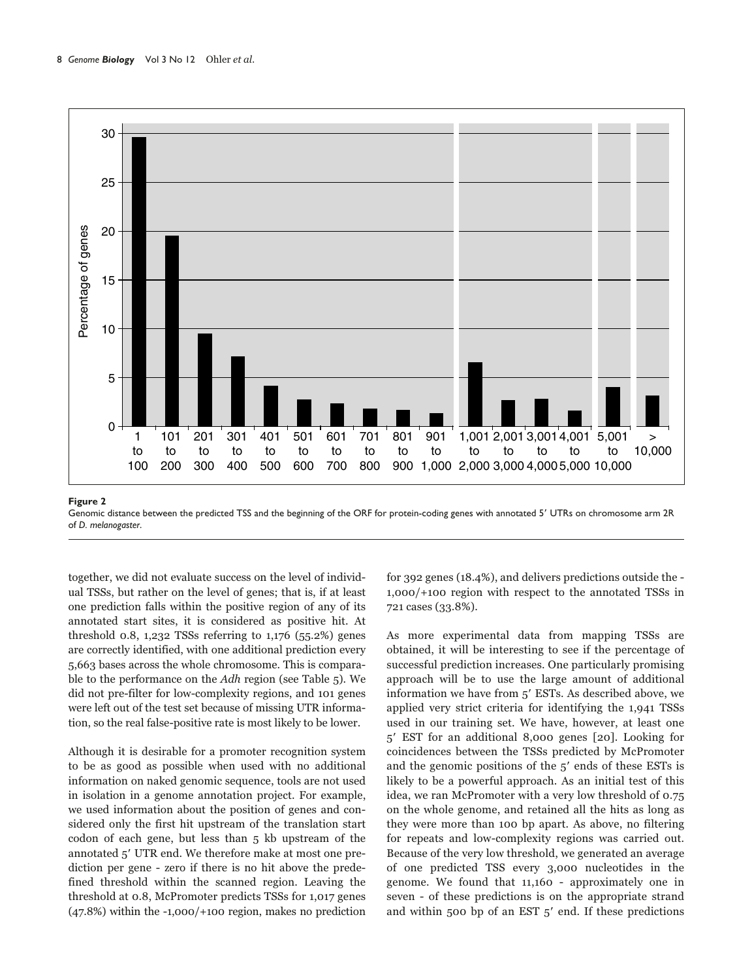

Genomic distance between the predicted TSS and the beginning of the ORF for protein-coding genes with annotated 5' UTRs on chromosome arm 2R of *D. melanogaster*.

together, we did not evaluate success on the level of individual TSSs, but rather on the level of genes; that is, if at least one prediction falls within the positive region of any of its annotated start sites, it is considered as positive hit. At threshold 0.8, 1,232 TSSs referring to 1,176  $(55.2%)$  genes are correctly identified, with one additional prediction every 5,663 bases across the whole chromosome. This is comparable to the performance on the Adh region (see Table 5). We did not pre-filter for low-complexity regions, and 101 genes were left out of the test set because of missing UTR information, so the real false-positive rate is most likely to be lower.

Although it is desirable for a promoter recognition system to be as good as possible when used with no additional information on naked genomic sequence, tools are not used in isolation in a genome annotation project. For example, we used information about the position of genes and considered only the first hit upstream of the translation start codon of each gene, but less than 5 kb upstream of the annotated 5' UTR end. We therefore make at most one prediction per gene - zero if there is no hit above the predefined threshold within the scanned region. Leaving the threshold at 0.8, McPromoter predicts TSSs for 1,017 genes (47.8%) within the -1,000/+100 region, makes no prediction

for 392 genes (18.4%), and delivers predictions outside the - 1,000/+100 region with respect to the annotated TSSs in 721 cases (33.8%).

As more experimental data from mapping TSSs are obtained, it will be interesting to see if the percentage of successful prediction increases. One particularly promising approach will be to use the large amount of additional information we have from 5' ESTs. As described above, we applied very strict criteria for identifying the 1,941 TSSs used in our training set. We have, however, at least one 5 EST for an additional 8,000 genes [20]. Looking for coincidences between the TSSs predicted by McPromoter and the genomic positions of the  $5'$  ends of these ESTs is likely to be a powerful approach. As an initial test of this idea, we ran McPromoter with a very low threshold of 0.75 on the whole genome, and retained all the hits as long as they were more than 100 bp apart. As above, no filtering for repeats and low-complexity regions was carried out. Because of the very low threshold, we generated an average of one predicted TSS every 3,000 nucleotides in the genome. We found that 11,160 - approximately one in seven - of these predictions is on the appropriate strand and within 500 bp of an EST  $5'$  end. If these predictions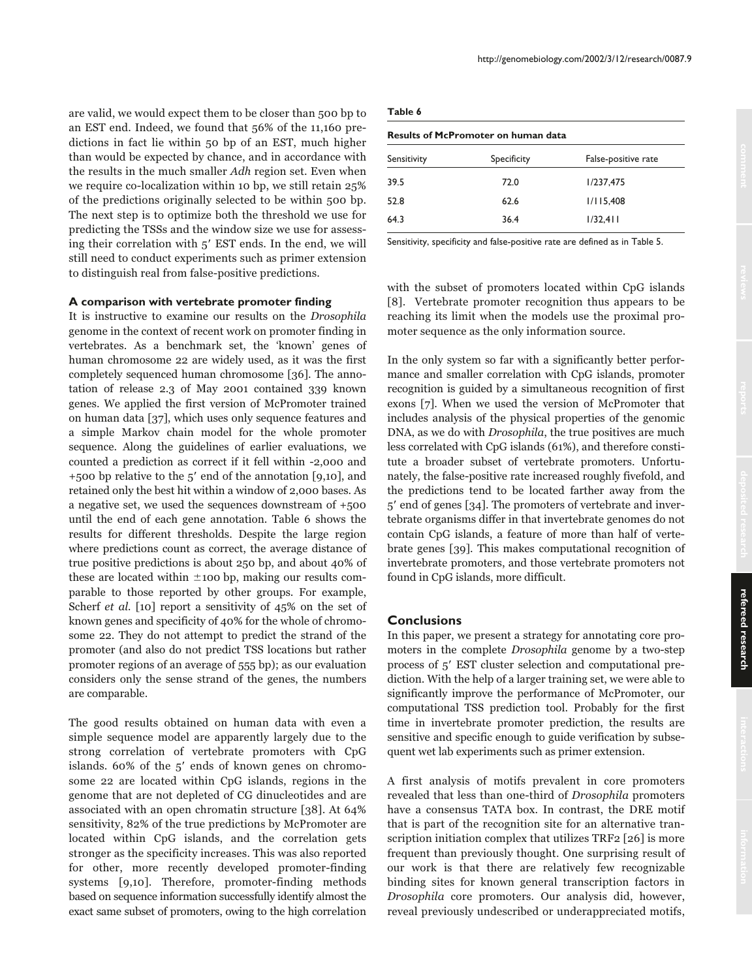are valid, we would expect them to be closer than 500 bp to an EST end. Indeed, we found that 56% of the 11,160 predictions in fact lie within 50 bp of an EST, much higher than would be expected by chance, and in accordance with the results in the much smaller Adh region set. Even when we require co-localization within 10 bp, we still retain 25% of the predictions originally selected to be within 500 bp. The next step is to optimize both the threshold we use for predicting the TSSs and the window size we use for assessing their correlation with  $5'$  EST ends. In the end, we will still need to conduct experiments such as primer extension to distinguish real from false-positive predictions.

#### **A comparison with vertebrate promoter finding**

It is instructive to examine our results on the Drosophila genome in the context of recent work on promoter finding in vertebrates. As a benchmark set, the 'known' genes of human chromosome 22 are widely used, as it was the first completely sequenced human chromosome [36]. The annotation of release 2.3 of May 2001 contained 339 known genes. We applied the first version of McPromoter trained on human data [37], which uses only sequence features and a simple Markov chain model for the whole promoter sequence. Along the guidelines of earlier evaluations, we counted a prediction as correct if it fell within -2,000 and +500 bp relative to the  $5'$  end of the annotation [9,10], and retained only the best hit within a window of 2,000 bases. As a negative set, we used the sequences downstream of +500 until the end of each gene annotation. Table 6 shows the results for different thresholds. Despite the large region where predictions count as correct, the average distance of true positive predictions is about 250 bp, and about 40% of these are located within  $\pm$ 100 bp, making our results comparable to those reported by other groups. For example, Scherf et al. [10] report a sensitivity of 45% on the set of known genes and specificity of 40% for the whole of chromosome 22. They do not attempt to predict the strand of the promoter (and also do not predict TSS locations but rather promoter regions of an average of 555 bp); as our evaluation considers only the sense strand of the genes, the numbers are comparable.

The good results obtained on human data with even a simple sequence model are apparently largely due to the strong correlation of vertebrate promoters with CpG islands.  $60\%$  of the  $5'$  ends of known genes on chromosome 22 are located within CpG islands, regions in the genome that are not depleted of CG dinucleotides and are associated with an open chromatin structure [38]. At 64% sensitivity, 82% of the true predictions by McPromoter are located within CpG islands, and the correlation gets stronger as the specificity increases. This was also reported for other, more recently developed promoter-finding systems [9,10]. Therefore, promoter-finding methods based on sequence information successfully identify almost the exact same subset of promoters, owing to the high correlation

| .<br>$\sim$ | $\sim$ |
|-------------|--------|
|-------------|--------|

| <b>Results of McPromoter on human data</b> |             |                     |  |  |  |
|--------------------------------------------|-------------|---------------------|--|--|--|
| Sensitivity                                | Specificity | False-positive rate |  |  |  |
| 39.5                                       | 72.0        | 1/237.475           |  |  |  |
| 52.8                                       | 62.6        | 1/115,408           |  |  |  |
| 64.3                                       | 36.4        | 1/32,411            |  |  |  |

Sensitivity, specificity and false-positive rate are defined as in Table 5.

with the subset of promoters located within CpG islands [8]. Vertebrate promoter recognition thus appears to be reaching its limit when the models use the proximal promoter sequence as the only information source.

In the only system so far with a significantly better performance and smaller correlation with CpG islands, promoter recognition is guided by a simultaneous recognition of first exons [7]. When we used the version of McPromoter that includes analysis of the physical properties of the genomic DNA, as we do with Drosophila, the true positives are much less correlated with CpG islands (61%), and therefore constitute a broader subset of vertebrate promoters. Unfortunately, the false-positive rate increased roughly fivefold, and the predictions tend to be located farther away from the 5 end of genes [34]. The promoters of vertebrate and invertebrate organisms differ in that invertebrate genomes do not contain CpG islands, a feature of more than half of vertebrate genes [39]. This makes computational recognition of invertebrate promoters, and those vertebrate promoters not found in CpG islands, more difficult.

## **Conclusions**

In this paper, we present a strategy for annotating core promoters in the complete Drosophila genome by a two-step process of 5' EST cluster selection and computational prediction. With the help of a larger training set, we were able to significantly improve the performance of McPromoter, our computational TSS prediction tool. Probably for the first time in invertebrate promoter prediction, the results are sensitive and specific enough to guide verification by subsequent wet lab experiments such as primer extension.

A first analysis of motifs prevalent in core promoters revealed that less than one-third of Drosophila promoters have a consensus TATA box. In contrast, the DRE motif that is part of the recognition site for an alternative transcription initiation complex that utilizes TRF2 [26] is more frequent than previously thought. One surprising result of our work is that there are relatively few recognizable binding sites for known general transcription factors in Drosophila core promoters. Our analysis did, however, reveal previously undescribed or underappreciated motifs,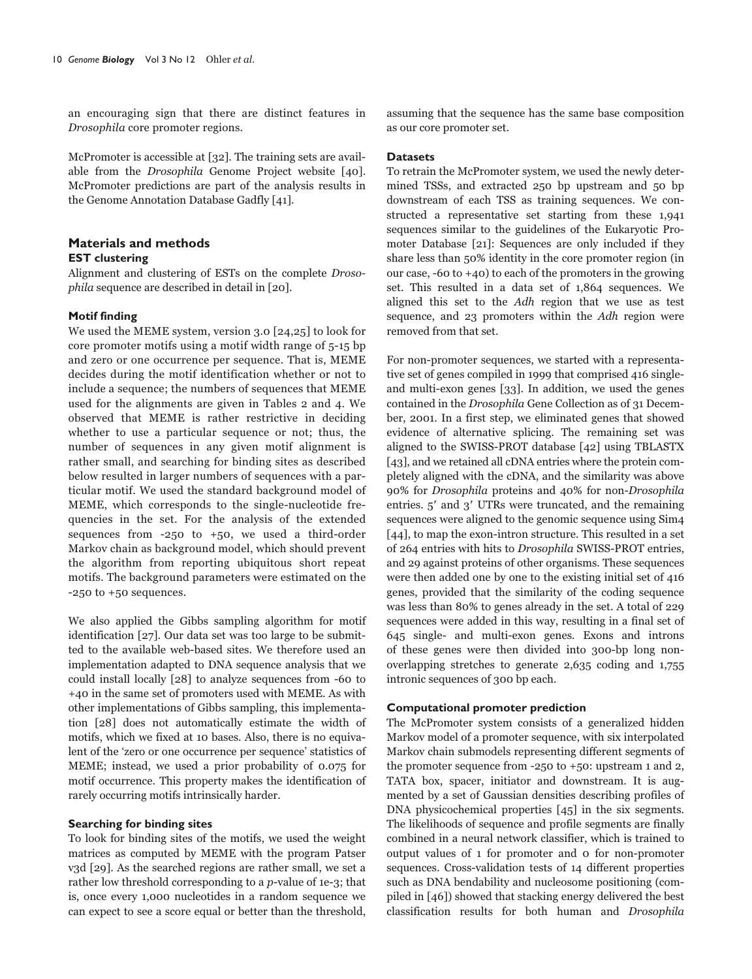an encouraging sign that there are distinct features in Drosophila core promoter regions.

McPromoter is accessible at [32]. The training sets are available from the Drosophila Genome Project website [40]. McPromoter predictions are part of the analysis results in the Genome Annotation Database Gadfly [41].

# **Materials and methods EST clustering**

Alignment and clustering of ESTs on the complete Drosophila sequence are described in detail in [20].

# **Motif finding**

We used the MEME system, version 3.0 [24,25] to look for core promoter motifs using a motif width range of 5-15 bp and zero or one occurrence per sequence. That is, MEME decides during the motif identification whether or not to include a sequence; the numbers of sequences that MEME used for the alignments are given in Tables 2 and 4. We observed that MEME is rather restrictive in deciding whether to use a particular sequence or not; thus, the number of sequences in any given motif alignment is rather small, and searching for binding sites as described below resulted in larger numbers of sequences with a particular motif. We used the standard background model of MEME, which corresponds to the single-nucleotide frequencies in the set. For the analysis of the extended sequences from  $-250$  to  $+50$ , we used a third-order Markov chain as background model, which should prevent the algorithm from reporting ubiquitous short repeat motifs. The background parameters were estimated on the -250 to +50 sequences.

We also applied the Gibbs sampling algorithm for motif identification [27]. Our data set was too large to be submitted to the available web-based sites. We therefore used an implementation adapted to DNA sequence analysis that we could install locally [28] to analyze sequences from -60 to +40 in the same set of promoters used with MEME. As with other implementations of Gibbs sampling, this implementation [28] does not automatically estimate the width of motifs, which we fixed at 10 bases. Also, there is no equivalent of the 'zero or one occurrence per sequence' statistics of MEME; instead, we used a prior probability of 0.075 for motif occurrence. This property makes the identification of rarely occurring motifs intrinsically harder.

### **Searching for binding sites**

To look for binding sites of the motifs, we used the weight matrices as computed by MEME with the program Patser v3d [29]. As the searched regions are rather small, we set a rather low threshold corresponding to a p-value of 1e-3; that is, once every 1,000 nucleotides in a random sequence we can expect to see a score equal or better than the threshold, assuming that the sequence has the same base composition as our core promoter set.

# **Datasets**

To retrain the McPromoter system, we used the newly determined TSSs, and extracted 250 bp upstream and 50 bp downstream of each TSS as training sequences. We constructed a representative set starting from these 1,941 sequences similar to the guidelines of the Eukaryotic Promoter Database [21]: Sequences are only included if they share less than 50% identity in the core promoter region (in our case,  $-60$  to  $+40$ ) to each of the promoters in the growing set. This resulted in a data set of 1,864 sequences. We aligned this set to the Adh region that we use as test sequence, and 23 promoters within the Adh region were removed from that set.

For non-promoter sequences, we started with a representative set of genes compiled in 1999 that comprised 416 singleand multi-exon genes [33]. In addition, we used the genes contained in the Drosophila Gene Collection as of 31 December, 2001. In a first step, we eliminated genes that showed evidence of alternative splicing. The remaining set was aligned to the SWISS-PROT database [42] using TBLASTX [43], and we retained all cDNA entries where the protein completely aligned with the cDNA, and the similarity was above 90% for Drosophila proteins and 40% for non-Drosophila entries.  $5'$  and  $3'$  UTRs were truncated, and the remaining sequences were aligned to the genomic sequence using Sim4 [44], to map the exon-intron structure. This resulted in a set of 264 entries with hits to Drosophila SWISS-PROT entries, and 29 against proteins of other organisms. These sequences were then added one by one to the existing initial set of 416 genes, provided that the similarity of the coding sequence was less than 80% to genes already in the set. A total of 229 sequences were added in this way, resulting in a final set of 645 single- and multi-exon genes. Exons and introns of these genes were then divided into 300-bp long nonoverlapping stretches to generate 2,635 coding and 1,755 intronic sequences of 300 bp each.

## **Computational promoter prediction**

The McPromoter system consists of a generalized hidden Markov model of a promoter sequence, with six interpolated Markov chain submodels representing different segments of the promoter sequence from -250 to +50: upstream 1 and 2, TATA box, spacer, initiator and downstream. It is augmented by a set of Gaussian densities describing profiles of DNA physicochemical properties [45] in the six segments. The likelihoods of sequence and profile segments are finally combined in a neural network classifier, which is trained to output values of 1 for promoter and 0 for non-promoter sequences. Cross-validation tests of 14 different properties such as DNA bendability and nucleosome positioning (compiled in [46]) showed that stacking energy delivered the best classification results for both human and Drosophila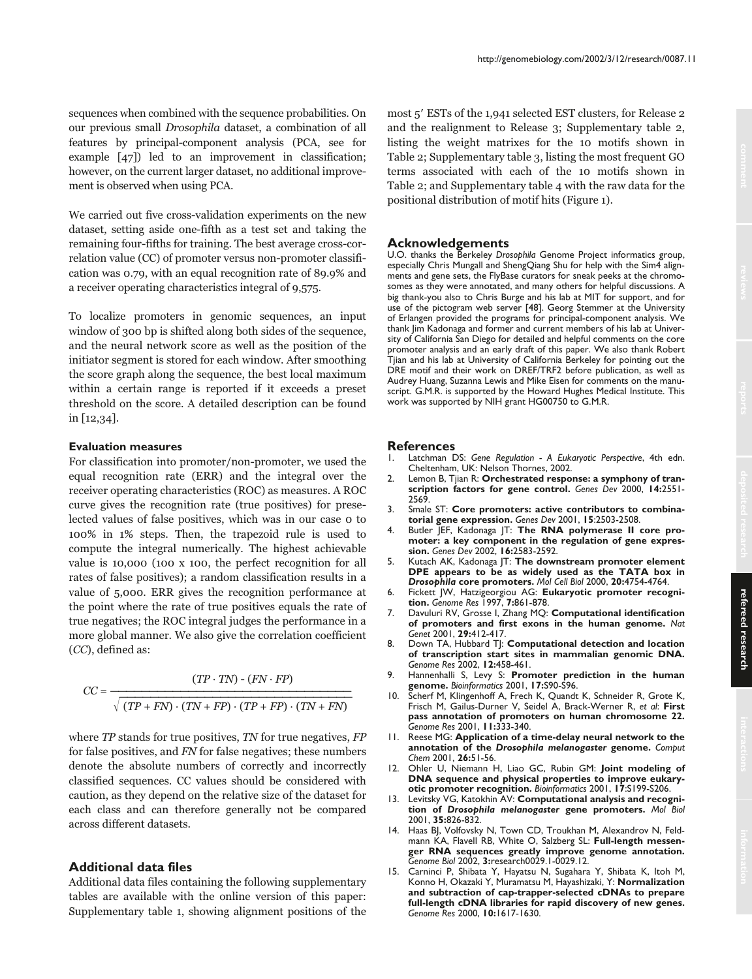sequences when combined with the sequence probabilities. On our previous small Drosophila dataset, a combination of all features by principal-component analysis (PCA, see for example [47]) led to an improvement in classification; however, on the current larger dataset, no additional improvement is observed when using PCA.

We carried out five cross-validation experiments on the new dataset, setting aside one-fifth as a test set and taking the remaining four-fifths for training. The best average cross-correlation value (CC) of promoter versus non-promoter classification was 0.79, with an equal recognition rate of 89.9% and a receiver operating characteristics integral of 9,575.

To localize promoters in genomic sequences, an input window of 300 bp is shifted along both sides of the sequence, and the neural network score as well as the position of the initiator segment is stored for each window. After smoothing the score graph along the sequence, the best local maximum within a certain range is reported if it exceeds a preset threshold on the score. A detailed description can be found in [12,34].

## **Evaluation measures**

For classification into promoter/non-promoter, we used the equal recognition rate (ERR) and the integral over the receiver operating characteristics (ROC) as measures. A ROC curve gives the recognition rate (true positives) for preselected values of false positives, which was in our case 0 to 100% in 1% steps. Then, the trapezoid rule is used to compute the integral numerically. The highest achievable value is 10,000 (100 x 100, the perfect recognition for all rates of false positives); a random classification results in a value of 5,000. ERR gives the recognition performance at the point where the rate of true positives equals the rate of true negatives; the ROC integral judges the performance in a more global manner. We also give the correlation coefficient (CC), defined as:

$$
CC = \frac{(TP \cdot TN) - (FN \cdot FP)}{\sqrt{(TP + FN) \cdot (TN + FP) \cdot (TP + FP) \cdot (TN + FN)}}
$$

where  $TP$  stands for true positives,  $TN$  for true negatives,  $FP$ for false positives, and FN for false negatives; these numbers denote the absolute numbers of correctly and incorrectly classified sequences. CC values should be considered with caution, as they depend on the relative size of the dataset for each class and can therefore generally not be compared across different datasets.

# **Additional data files**

Additional data files containing the following supplementary tables are available with the online version of this paper: Supplementary table 1, showing alignment positions of the most 5' ESTs of the 1,941 selected EST clusters, for Release 2 and the realignment to Release 3; Supplementary table 2, listing the weight matrixes for the 10 motifs shown in Table 2; Supplementary table 3, listing the most frequent GO terms associated with each of the 10 motifs shown in Table 2; and Supplementary table 4 with the raw data for the positional distribution of motif hits (Figure 1).

http://genomebiology.com/2002/3/12/research/0087.11

#### **Acknowledgements**

U.O. thanks the Berkeley *Drosophila* Genome Project informatics group, especially Chris Mungall and ShengQiang Shu for help with the Sim4 alignments and gene sets, the FlyBase curators for sneak peeks at the chromosomes as they were annotated, and many others for helpful discussions. A big thank-you also to Chris Burge and his lab at MIT for support, and for use of the pictogram web server [48]. Georg Stemmer at the University of Erlangen provided the programs for principal-component analysis. We thank Jim Kadonaga and former and current members of his lab at University of California San Diego for detailed and helpful comments on the core promoter analysis and an early draft of this paper. We also thank Robert Tjian and his lab at University of California Berkeley for pointing out the DRE motif and their work on DREF/TRF2 before publication, as well as Audrey Huang, Suzanna Lewis and Mike Eisen for comments on the manuscript. G.M.R. is supported by the Howard Hughes Medical Institute. This work was supported by NIH grant HG00750 to G.M.R.

# **References**<br>L. Latchman D

- 1. Latchman DS: *Gene Regulation A Eukaryotic Perspective*, 4th edn. Cheltenham, UK: Nelson Thornes, 2002.
- 2. Lemon B, Tjian R: **Orchestrated response: a symphony of transcription factors for gene control.** *Genes Dev* 2000, **14:**2551- 2569.
- 3. Smale ST: **Core promoters: active contributors to combinatorial gene expression.** *Genes Dev* 2001, **15**:2503-2508.
- 4. Butler JEF, Kadonaga JT: **The RNA polymerase II core promoter: a key component in the regulation of gene expression.** *Genes Dev* 2002, **16:**2583-2592.
- 5. Kutach AK, Kadonaga JT: **The downstream promoter element DPE appears to be as widely used as the TATA box in** *Drosophila* **core promoters.** *Mol Cell Biol* 2000, **20:**4754-4764.
- 6. Fickett JW, Hatzigeorgiou AG: **Eukaryotic promoter recognition.** *Genome Res* 1997, **7:**861-878.
- 7. Davuluri RV, Grosse I, Zhang MQ: **Computational identification of promoters and first exons in the human genome.** *Nat Genet* 2001, **29:**412-417.
- 8. Down TA, Hubbard TJ: **Computational detection and location of transcription start sites in mammalian genomic DNA.** *Genome Res* 2002, **12:**458-461.
- 9. Hannenhalli S, Levy S: **Promoter prediction in the human genome.** *Bioinformatics* 2001, **17:**S90-S96.
- 10. Scherf M, Klingenhoff A, Frech K, Quandt K, Schneider R, Grote K, Frisch M, Gailus-Durner V, Seidel A, Brack-Werner R, *et al*: **First pass annotation of promoters on human chromosome 22.** *Genome Res* 2001, **11:**333-340.
- 11. Reese MG: **Application of a time-delay neural network to the annotation of the** *Drosophila melanogaster* **genome.** *Comput Chem* 2001, **26:**51-56.
- 12. Ohler U, Niemann H, Liao GC, Rubin GM: **Joint modeling of DNA sequence and physical properties to improve eukaryotic promoter recognition.** *Bioinformatics* 2001, **17**:S199-S206.
- 13. Levitsky VG, Katokhin AV: **Computational analysis and recognition of** *Drosophila melanogaster* **gene promoters.** *Mol Biol* 2001, **35:**826-832.
- 14. Haas BJ, Volfovsky N, Town CD, Troukhan M, Alexandrov N, Feldmann KA, Flavell RB, White O, Salzberg SL: **Full-length messenger RNA sequences greatly improve genome annotation.** *Genome Biol* 2002, **3:**research0029.1-0029.12.
- 15. Carninci P, Shibata Y, Hayatsu N, Sugahara Y, Shibata K, Itoh M, Konno H, Okazaki Y, Muramatsu M, Hayashizaki, Y: **Normalization and subtraction of cap-trapper-selected cDNAs to prepare full-length cDNA libraries for rapid discovery of new genes.** *Genome Res* 2000, **10:**1617-1630.